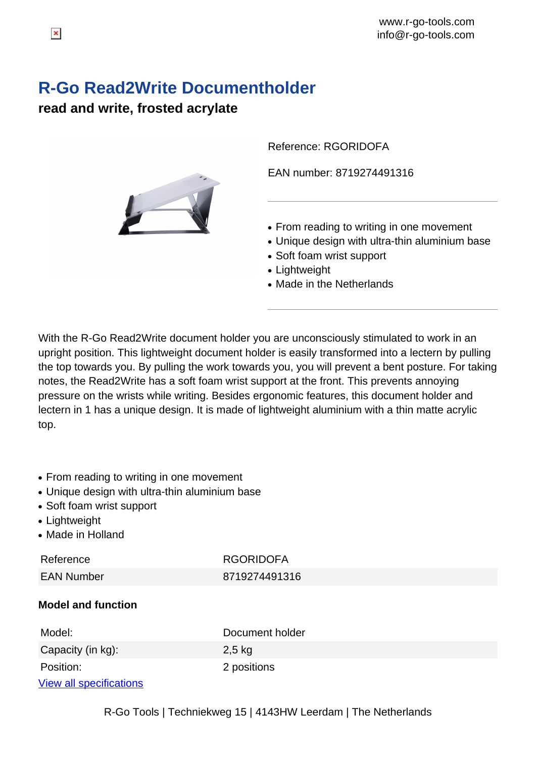# **R-Go Read2Write Documentholder**

## **read and write, frosted acrylate**



Reference: RGORIDOFA

EAN number: 8719274491316

- From reading to writing in one movement
- Unique design with ultra-thin aluminium base
- Soft foam wrist support
- Lightweight
- Made in the Netherlands

With the R-Go Read2Write document holder you are unconsciously stimulated to work in an upright position. This lightweight document holder is easily transformed into a lectern by pulling the top towards you. By pulling the work towards you, you will prevent a bent posture. For taking notes, the Read2Write has a soft foam wrist support at the front. This prevents annoying pressure on the wrists while writing. Besides ergonomic features, this document holder and lectern in 1 has a unique design. It is made of lightweight aluminium with a thin matte acrylic top.

- From reading to writing in one movement
- Unique design with ultra-thin aluminium base
- Soft foam wrist support
- Lightweight
- Made in Holland

Reference RGORIDOFA EAN Number 8719274491316

#### **Model and function**

| Model:                         | Document holder |
|--------------------------------|-----------------|
| Capacity (in kg):              | $2,5$ kg        |
| Position:                      | 2 positions     |
| <b>View all specifications</b> |                 |